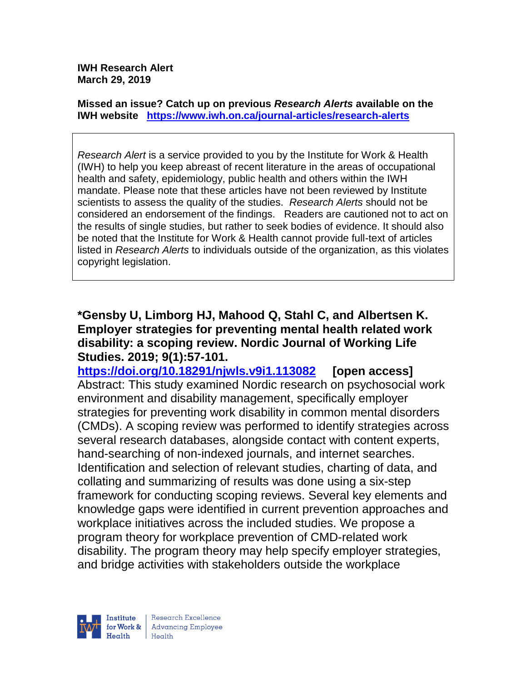**IWH Research Alert March 29, 2019**

**Missed an issue? Catch up on previous** *Research Alerts* **available on the [IWH website](http://www.iwh.on.ca/research-alerts) <https://www.iwh.on.ca/journal-articles/research-alerts>**

*Research Alert* is a service provided to you by the Institute for Work & Health (IWH) to help you keep abreast of recent literature in the areas of occupational health and safety, epidemiology, public health and others within the IWH mandate. Please note that these articles have not been reviewed by Institute scientists to assess the quality of the studies. *Research Alerts* should not be considered an endorsement of the findings. Readers are cautioned not to act on the results of single studies, but rather to seek bodies of evidence. It should also be noted that the Institute for Work & Health cannot provide full-text of articles listed in *Research Alerts* to individuals outside of the organization, as this violates copyright legislation.

**\*Gensby U, Limborg HJ, Mahood Q, Stahl C, and Albertsen K. Employer strategies for preventing mental health related work disability: a scoping review. Nordic Journal of Working Life Studies. 2019; 9(1):57-101.** 

**<https://doi.org/10.18291/njwls.v9i1.113082> [open access]** Abstract: This study examined Nordic research on psychosocial work environment and disability management, specifically employer strategies for preventing work disability in common mental disorders (CMDs). A scoping review was performed to identify strategies across several research databases, alongside contact with content experts, hand-searching of non-indexed journals, and internet searches. Identification and selection of relevant studies, charting of data, and collating and summarizing of results was done using a six-step framework for conducting scoping reviews. Several key elements and knowledge gaps were identified in current prevention approaches and workplace initiatives across the included studies. We propose a program theory for workplace prevention of CMD-related work disability. The program theory may help specify employer strategies, and bridge activities with stakeholders outside the workplace

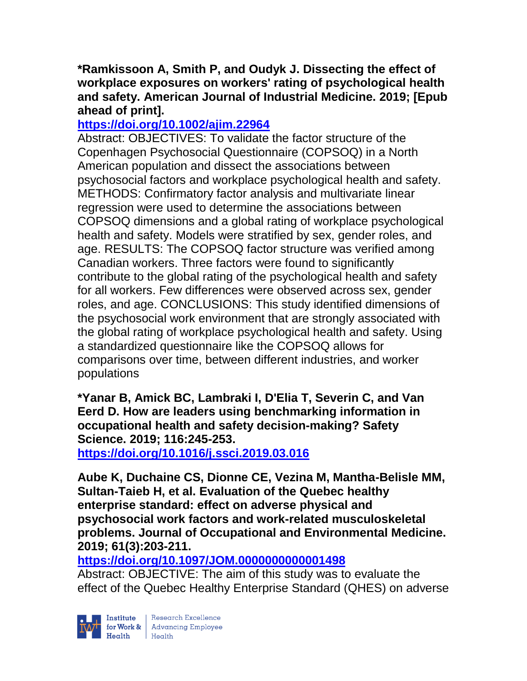## **\*Ramkissoon A, Smith P, and Oudyk J. Dissecting the effect of workplace exposures on workers' rating of psychological health and safety. American Journal of Industrial Medicine. 2019; [Epub ahead of print].**

# **<https://doi.org/10.1002/ajim.22964>**

Abstract: OBJECTIVES: To validate the factor structure of the Copenhagen Psychosocial Questionnaire (COPSOQ) in a North American population and dissect the associations between psychosocial factors and workplace psychological health and safety. METHODS: Confirmatory factor analysis and multivariate linear regression were used to determine the associations between COPSOQ dimensions and a global rating of workplace psychological health and safety. Models were stratified by sex, gender roles, and age. RESULTS: The COPSOQ factor structure was verified among Canadian workers. Three factors were found to significantly contribute to the global rating of the psychological health and safety for all workers. Few differences were observed across sex, gender roles, and age. CONCLUSIONS: This study identified dimensions of the psychosocial work environment that are strongly associated with the global rating of workplace psychological health and safety. Using a standardized questionnaire like the COPSOQ allows for comparisons over time, between different industries, and worker populations

**\*Yanar B, Amick BC, Lambraki I, D'Elia T, Severin C, and Van Eerd D. How are leaders using benchmarking information in occupational health and safety decision-making? Safety Science. 2019; 116:245-253.** 

**<https://doi.org/10.1016/j.ssci.2019.03.016>** 

**Aube K, Duchaine CS, Dionne CE, Vezina M, Mantha-Belisle MM, Sultan-Taieb H, et al. Evaluation of the Quebec healthy enterprise standard: effect on adverse physical and psychosocial work factors and work-related musculoskeletal problems. Journal of Occupational and Environmental Medicine. 2019; 61(3):203-211.** 

**<https://doi.org/10.1097/JOM.0000000000001498>** 

Abstract: OBJECTIVE: The aim of this study was to evaluate the effect of the Quebec Healthy Enterprise Standard (QHES) on adverse

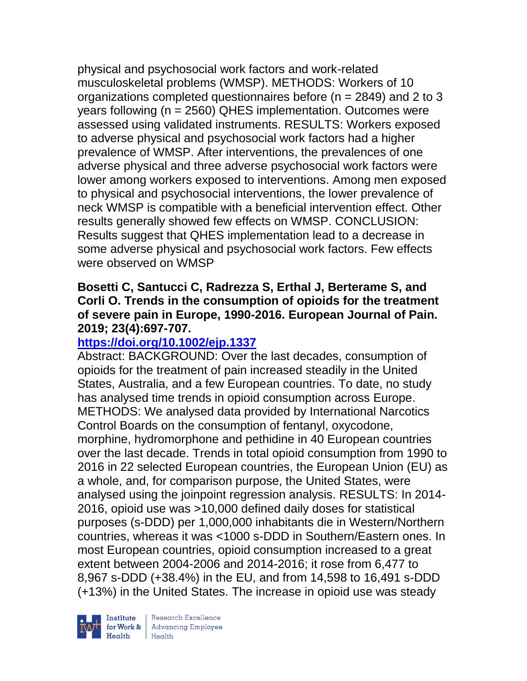physical and psychosocial work factors and work-related musculoskeletal problems (WMSP). METHODS: Workers of 10 organizations completed questionnaires before (n = 2849) and 2 to 3 years following (n = 2560) QHES implementation. Outcomes were assessed using validated instruments. RESULTS: Workers exposed to adverse physical and psychosocial work factors had a higher prevalence of WMSP. After interventions, the prevalences of one adverse physical and three adverse psychosocial work factors were lower among workers exposed to interventions. Among men exposed to physical and psychosocial interventions, the lower prevalence of neck WMSP is compatible with a beneficial intervention effect. Other results generally showed few effects on WMSP. CONCLUSION: Results suggest that QHES implementation lead to a decrease in some adverse physical and psychosocial work factors. Few effects were observed on WMSP

### **Bosetti C, Santucci C, Radrezza S, Erthal J, Berterame S, and Corli O. Trends in the consumption of opioids for the treatment of severe pain in Europe, 1990-2016. European Journal of Pain. 2019; 23(4):697-707.**

# **<https://doi.org/10.1002/ejp.1337>**

Abstract: BACKGROUND: Over the last decades, consumption of opioids for the treatment of pain increased steadily in the United States, Australia, and a few European countries. To date, no study has analysed time trends in opioid consumption across Europe. METHODS: We analysed data provided by International Narcotics Control Boards on the consumption of fentanyl, oxycodone, morphine, hydromorphone and pethidine in 40 European countries over the last decade. Trends in total opioid consumption from 1990 to 2016 in 22 selected European countries, the European Union (EU) as a whole, and, for comparison purpose, the United States, were analysed using the joinpoint regression analysis. RESULTS: In 2014- 2016, opioid use was >10,000 defined daily doses for statistical purposes (s-DDD) per 1,000,000 inhabitants die in Western/Northern countries, whereas it was <1000 s-DDD in Southern/Eastern ones. In most European countries, opioid consumption increased to a great extent between 2004-2006 and 2014-2016; it rose from 6,477 to 8,967 s-DDD (+38.4%) in the EU, and from 14,598 to 16,491 s-DDD (+13%) in the United States. The increase in opioid use was steady

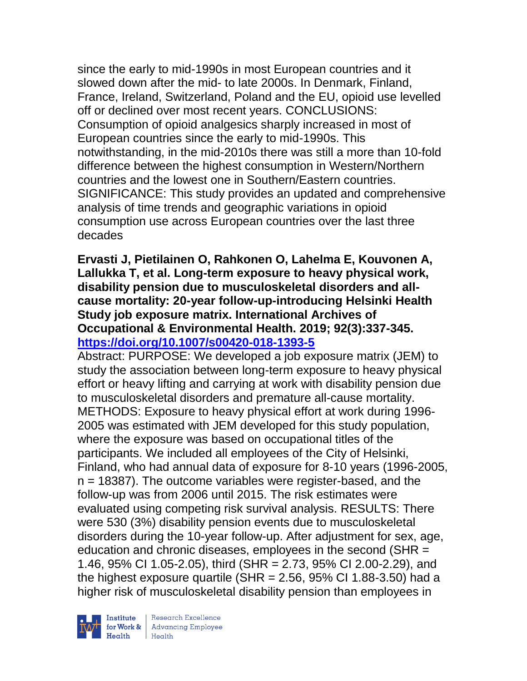since the early to mid-1990s in most European countries and it slowed down after the mid- to late 2000s. In Denmark, Finland, France, Ireland, Switzerland, Poland and the EU, opioid use levelled off or declined over most recent years. CONCLUSIONS: Consumption of opioid analgesics sharply increased in most of European countries since the early to mid-1990s. This notwithstanding, in the mid-2010s there was still a more than 10-fold difference between the highest consumption in Western/Northern countries and the lowest one in Southern/Eastern countries. SIGNIFICANCE: This study provides an updated and comprehensive analysis of time trends and geographic variations in opioid consumption use across European countries over the last three decades

#### **Ervasti J, Pietilainen O, Rahkonen O, Lahelma E, Kouvonen A, Lallukka T, et al. Long-term exposure to heavy physical work, disability pension due to musculoskeletal disorders and allcause mortality: 20-year follow-up-introducing Helsinki Health Study job exposure matrix. International Archives of Occupational & Environmental Health. 2019; 92(3):337-345. <https://doi.org/10.1007/s00420-018-1393-5>**

Abstract: PURPOSE: We developed a job exposure matrix (JEM) to study the association between long-term exposure to heavy physical effort or heavy lifting and carrying at work with disability pension due to musculoskeletal disorders and premature all-cause mortality. METHODS: Exposure to heavy physical effort at work during 1996- 2005 was estimated with JEM developed for this study population, where the exposure was based on occupational titles of the participants. We included all employees of the City of Helsinki, Finland, who had annual data of exposure for 8-10 years (1996-2005,  $n = 18387$ ). The outcome variables were register-based, and the follow-up was from 2006 until 2015. The risk estimates were evaluated using competing risk survival analysis. RESULTS: There were 530 (3%) disability pension events due to musculoskeletal disorders during the 10-year follow-up. After adjustment for sex, age, education and chronic diseases, employees in the second (SHR = 1.46, 95% CI 1.05-2.05), third (SHR = 2.73, 95% CI 2.00-2.29), and the highest exposure quartile (SHR =  $2.56$ ,  $95\%$  CI 1.88-3.50) had a higher risk of musculoskeletal disability pension than employees in

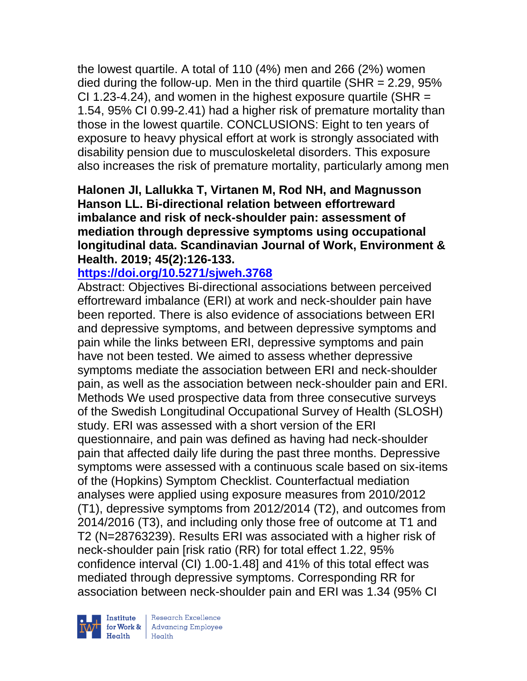the lowest quartile. A total of 110 (4%) men and 266 (2%) women died during the follow-up. Men in the third quartile (SHR  $= 2.29$ , 95% CI 1.23-4.24), and women in the highest exposure quartile (SHR  $=$ 1.54, 95% CI 0.99-2.41) had a higher risk of premature mortality than those in the lowest quartile. CONCLUSIONS: Eight to ten years of exposure to heavy physical effort at work is strongly associated with disability pension due to musculoskeletal disorders. This exposure also increases the risk of premature mortality, particularly among men

#### **Halonen JI, Lallukka T, Virtanen M, Rod NH, and Magnusson Hanson LL. Bi-directional relation between effortreward imbalance and risk of neck-shoulder pain: assessment of mediation through depressive symptoms using occupational longitudinal data. Scandinavian Journal of Work, Environment & Health. 2019; 45(2):126-133.**

## **<https://doi.org/10.5271/sjweh.3768>**

Abstract: Objectives Bi-directional associations between perceived effortreward imbalance (ERI) at work and neck-shoulder pain have been reported. There is also evidence of associations between ERI and depressive symptoms, and between depressive symptoms and pain while the links between ERI, depressive symptoms and pain have not been tested. We aimed to assess whether depressive symptoms mediate the association between ERI and neck-shoulder pain, as well as the association between neck-shoulder pain and ERI. Methods We used prospective data from three consecutive surveys of the Swedish Longitudinal Occupational Survey of Health (SLOSH) study. ERI was assessed with a short version of the ERI questionnaire, and pain was defined as having had neck-shoulder pain that affected daily life during the past three months. Depressive symptoms were assessed with a continuous scale based on six-items of the (Hopkins) Symptom Checklist. Counterfactual mediation analyses were applied using exposure measures from 2010/2012 (T1), depressive symptoms from 2012/2014 (T2), and outcomes from 2014/2016 (T3), and including only those free of outcome at T1 and T2 (N=28763239). Results ERI was associated with a higher risk of neck-shoulder pain [risk ratio (RR) for total effect 1.22, 95% confidence interval (CI) 1.00-1.48] and 41% of this total effect was mediated through depressive symptoms. Corresponding RR for association between neck-shoulder pain and ERI was 1.34 (95% CI

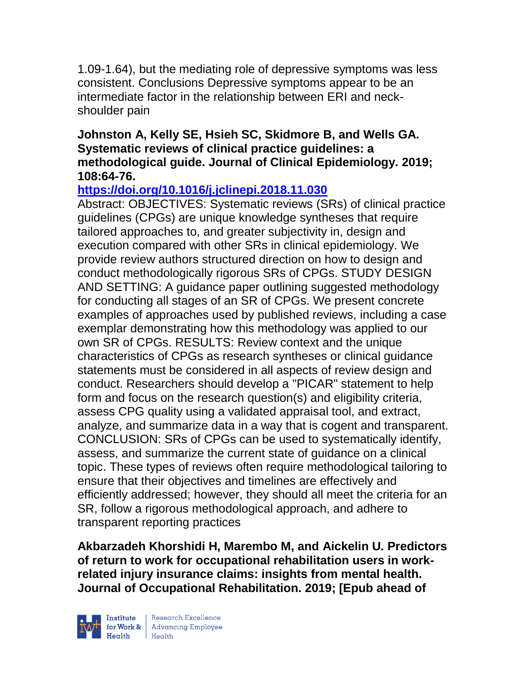1.09-1.64), but the mediating role of depressive symptoms was less consistent. Conclusions Depressive symptoms appear to be an intermediate factor in the relationship between ERI and neckshoulder pain

## **Johnston A, Kelly SE, Hsieh SC, Skidmore B, and Wells GA. Systematic reviews of clinical practice guidelines: a methodological guide. Journal of Clinical Epidemiology. 2019; 108:64-76.**

# **<https://doi.org/10.1016/j.jclinepi.2018.11.030>**

Abstract: OBJECTIVES: Systematic reviews (SRs) of clinical practice guidelines (CPGs) are unique knowledge syntheses that require tailored approaches to, and greater subjectivity in, design and execution compared with other SRs in clinical epidemiology. We provide review authors structured direction on how to design and conduct methodologically rigorous SRs of CPGs. STUDY DESIGN AND SETTING: A guidance paper outlining suggested methodology for conducting all stages of an SR of CPGs. We present concrete examples of approaches used by published reviews, including a case exemplar demonstrating how this methodology was applied to our own SR of CPGs. RESULTS: Review context and the unique characteristics of CPGs as research syntheses or clinical guidance statements must be considered in all aspects of review design and conduct. Researchers should develop a "PICAR" statement to help form and focus on the research question(s) and eligibility criteria, assess CPG quality using a validated appraisal tool, and extract, analyze, and summarize data in a way that is cogent and transparent. CONCLUSION: SRs of CPGs can be used to systematically identify, assess, and summarize the current state of guidance on a clinical topic. These types of reviews often require methodological tailoring to ensure that their objectives and timelines are effectively and efficiently addressed; however, they should all meet the criteria for an SR, follow a rigorous methodological approach, and adhere to transparent reporting practices

**Akbarzadeh Khorshidi H, Marembo M, and Aickelin U. Predictors of return to work for occupational rehabilitation users in workrelated injury insurance claims: insights from mental health. Journal of Occupational Rehabilitation. 2019; [Epub ahead of** 



| Research Excellence for Work & Advancing Employee<br>Health Health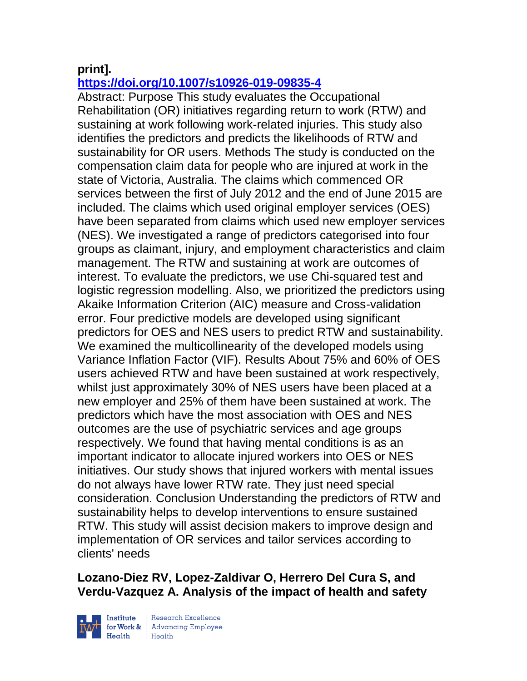## **print].**

## **<https://doi.org/10.1007/s10926-019-09835-4>**

Abstract: Purpose This study evaluates the Occupational Rehabilitation (OR) initiatives regarding return to work (RTW) and sustaining at work following work-related injuries. This study also identifies the predictors and predicts the likelihoods of RTW and sustainability for OR users. Methods The study is conducted on the compensation claim data for people who are injured at work in the state of Victoria, Australia. The claims which commenced OR services between the first of July 2012 and the end of June 2015 are included. The claims which used original employer services (OES) have been separated from claims which used new employer services (NES). We investigated a range of predictors categorised into four groups as claimant, injury, and employment characteristics and claim management. The RTW and sustaining at work are outcomes of interest. To evaluate the predictors, we use Chi-squared test and logistic regression modelling. Also, we prioritized the predictors using Akaike Information Criterion (AIC) measure and Cross-validation error. Four predictive models are developed using significant predictors for OES and NES users to predict RTW and sustainability. We examined the multicollinearity of the developed models using Variance Inflation Factor (VIF). Results About 75% and 60% of OES users achieved RTW and have been sustained at work respectively, whilst just approximately 30% of NES users have been placed at a new employer and 25% of them have been sustained at work. The predictors which have the most association with OES and NES outcomes are the use of psychiatric services and age groups respectively. We found that having mental conditions is as an important indicator to allocate injured workers into OES or NES initiatives. Our study shows that injured workers with mental issues do not always have lower RTW rate. They just need special consideration. Conclusion Understanding the predictors of RTW and sustainability helps to develop interventions to ensure sustained RTW. This study will assist decision makers to improve design and implementation of OR services and tailor services according to clients' needs

# **Lozano-Diez RV, Lopez-Zaldivar O, Herrero Del Cura S, and Verdu-Vazquez A. Analysis of the impact of health and safety**



| Research Excellence for Work & Advancing Employee<br>Health Health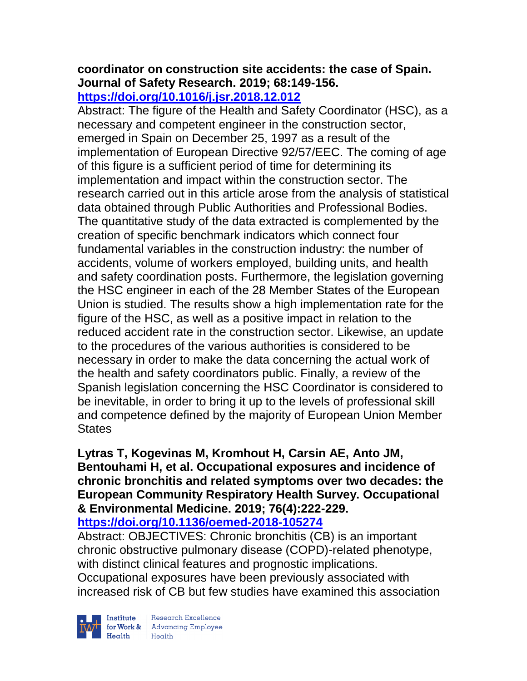#### **coordinator on construction site accidents: the case of Spain. Journal of Safety Research. 2019; 68:149-156. <https://doi.org/10.1016/j.jsr.2018.12.012>**

Abstract: The figure of the Health and Safety Coordinator (HSC), as a necessary and competent engineer in the construction sector, emerged in Spain on December 25, 1997 as a result of the implementation of European Directive 92/57/EEC. The coming of age of this figure is a sufficient period of time for determining its implementation and impact within the construction sector. The research carried out in this article arose from the analysis of statistical data obtained through Public Authorities and Professional Bodies. The quantitative study of the data extracted is complemented by the creation of specific benchmark indicators which connect four fundamental variables in the construction industry: the number of accidents, volume of workers employed, building units, and health and safety coordination posts. Furthermore, the legislation governing the HSC engineer in each of the 28 Member States of the European Union is studied. The results show a high implementation rate for the figure of the HSC, as well as a positive impact in relation to the reduced accident rate in the construction sector. Likewise, an update to the procedures of the various authorities is considered to be necessary in order to make the data concerning the actual work of the health and safety coordinators public. Finally, a review of the Spanish legislation concerning the HSC Coordinator is considered to be inevitable, in order to bring it up to the levels of professional skill and competence defined by the majority of European Union Member **States** 

**Lytras T, Kogevinas M, Kromhout H, Carsin AE, Anto JM, Bentouhami H, et al. Occupational exposures and incidence of chronic bronchitis and related symptoms over two decades: the European Community Respiratory Health Survey. Occupational & Environmental Medicine. 2019; 76(4):222-229. <https://doi.org/10.1136/oemed-2018-105274>** 

Abstract: OBJECTIVES: Chronic bronchitis (CB) is an important chronic obstructive pulmonary disease (COPD)-related phenotype, with distinct clinical features and prognostic implications. Occupational exposures have been previously associated with increased risk of CB but few studies have examined this association



 $\begin{tabular}{|l|} Institute & Research Excellence \\ \hline for Work & Advancing Employee \\ Health & Health \\ \end{tabular}$ | Research Excellence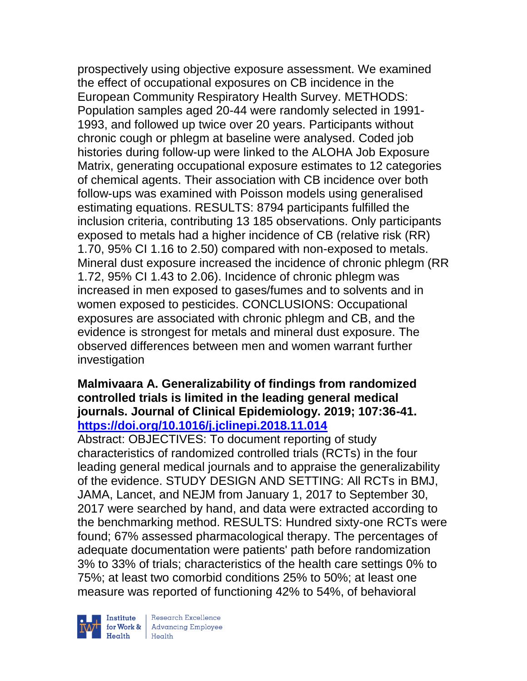prospectively using objective exposure assessment. We examined the effect of occupational exposures on CB incidence in the European Community Respiratory Health Survey. METHODS: Population samples aged 20-44 were randomly selected in 1991- 1993, and followed up twice over 20 years. Participants without chronic cough or phlegm at baseline were analysed. Coded job histories during follow-up were linked to the ALOHA Job Exposure Matrix, generating occupational exposure estimates to 12 categories of chemical agents. Their association with CB incidence over both follow-ups was examined with Poisson models using generalised estimating equations. RESULTS: 8794 participants fulfilled the inclusion criteria, contributing 13 185 observations. Only participants exposed to metals had a higher incidence of CB (relative risk (RR) 1.70, 95% CI 1.16 to 2.50) compared with non-exposed to metals. Mineral dust exposure increased the incidence of chronic phlegm (RR 1.72, 95% CI 1.43 to 2.06). Incidence of chronic phlegm was increased in men exposed to gases/fumes and to solvents and in women exposed to pesticides. CONCLUSIONS: Occupational exposures are associated with chronic phlegm and CB, and the evidence is strongest for metals and mineral dust exposure. The observed differences between men and women warrant further investigation

#### **Malmivaara A. Generalizability of findings from randomized controlled trials is limited in the leading general medical journals. Journal of Clinical Epidemiology. 2019; 107:36-41. <https://doi.org/10.1016/j.jclinepi.2018.11.014>**

Abstract: OBJECTIVES: To document reporting of study characteristics of randomized controlled trials (RCTs) in the four leading general medical journals and to appraise the generalizability of the evidence. STUDY DESIGN AND SETTING: All RCTs in BMJ, JAMA, Lancet, and NEJM from January 1, 2017 to September 30, 2017 were searched by hand, and data were extracted according to the benchmarking method. RESULTS: Hundred sixty-one RCTs were found; 67% assessed pharmacological therapy. The percentages of adequate documentation were patients' path before randomization 3% to 33% of trials; characteristics of the health care settings 0% to 75%; at least two comorbid conditions 25% to 50%; at least one measure was reported of functioning 42% to 54%, of behavioral



 $\begin{tabular}{|l|} Institute & Research Excellence \\ \hline for Work & Advancing Employee \\ Health & Health \\ \end{tabular}$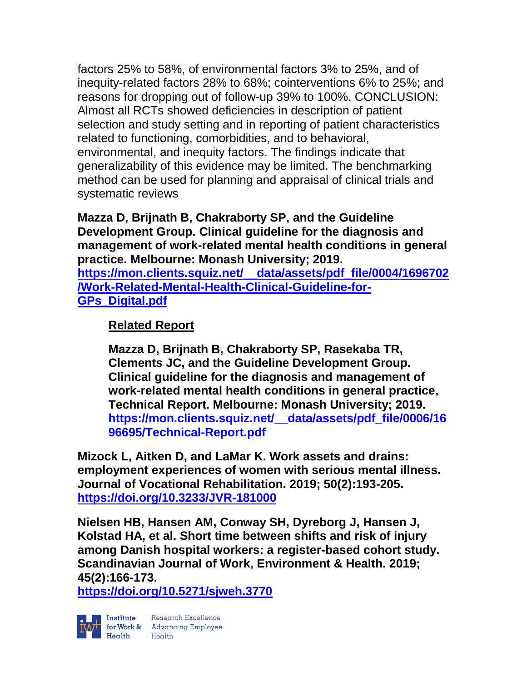factors 25% to 58%, of environmental factors 3% to 25%, and of inequity-related factors 28% to 68%; cointerventions 6% to 25%; and reasons for dropping out of follow-up 39% to 100%. CONCLUSION: Almost all RCTs showed deficiencies in description of patient selection and study setting and in reporting of patient characteristics related to functioning, comorbidities, and to behavioral, environmental, and inequity factors. The findings indicate that generalizability of this evidence may be limited. The benchmarking method can be used for planning and appraisal of clinical trials and systematic reviews

**Mazza D, Brijnath B, Chakraborty SP, and the Guideline Development Group. Clinical guideline for the diagnosis and management of work-related mental health conditions in general practice. Melbourne: Monash University; 2019. [https://mon.clients.squiz.net/\\_\\_data/assets/pdf\\_file/0004/1696702](https://mon.clients.squiz.net/__data/assets/pdf_file/0004/1696702/Work-Related-Mental-Health-Clinical-Guideline-for-GPs_Digital.pdf) [/Work-Related-Mental-Health-Clinical-Guideline-for-](https://mon.clients.squiz.net/__data/assets/pdf_file/0004/1696702/Work-Related-Mental-Health-Clinical-Guideline-for-GPs_Digital.pdf)[GPs\\_Digital.pdf](https://mon.clients.squiz.net/__data/assets/pdf_file/0004/1696702/Work-Related-Mental-Health-Clinical-Guideline-for-GPs_Digital.pdf)**

## **Related Report**

**Mazza D, Brijnath B, Chakraborty SP, Rasekaba TR, Clements JC, and the Guideline Development Group. Clinical guideline for the diagnosis and management of work-related mental health conditions in general practice, Technical Report. Melbourne: Monash University; 2019. [https://mon.clients.squiz.net/\\_\\_data/assets/pdf\\_file/0006/16](https://mon.clients.squiz.net/__data/assets/pdf_file/0006/1696695/Technical-Report.pdf) [96695/Technical-Report.pdf](https://mon.clients.squiz.net/__data/assets/pdf_file/0006/1696695/Technical-Report.pdf)**

**Mizock L, Aitken D, and LaMar K. Work assets and drains: employment experiences of women with serious mental illness. Journal of Vocational Rehabilitation. 2019; 50(2):193-205. <https://doi.org/10.3233/JVR-181000>** 

**Nielsen HB, Hansen AM, Conway SH, Dyreborg J, Hansen J, Kolstad HA, et al. Short time between shifts and risk of injury among Danish hospital workers: a register-based cohort study. Scandinavian Journal of Work, Environment & Health. 2019; 45(2):166-173.** 

**<https://doi.org/10.5271/sjweh.3770>** 



Research Excellence  $\begin{tabular}{|l|} Institute & Research Excellence \\ \hline for Work & Advancing Employee \\ Health & Health \\ \end{tabular}$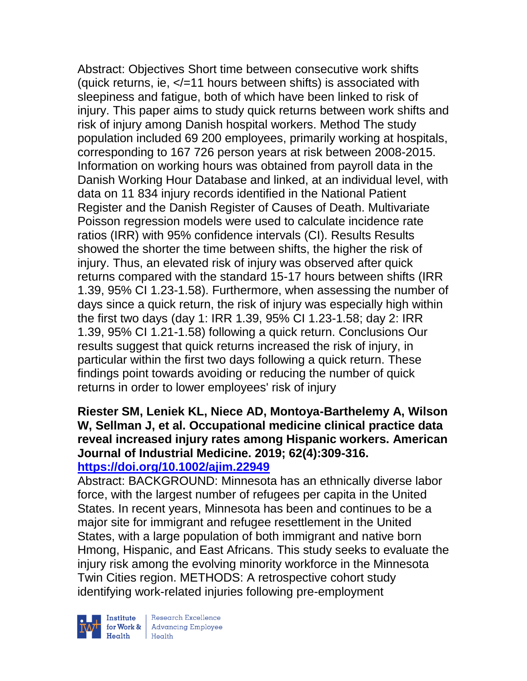Abstract: Objectives Short time between consecutive work shifts (quick returns, ie,  $\lt/=11$  hours between shifts) is associated with sleepiness and fatigue, both of which have been linked to risk of injury. This paper aims to study quick returns between work shifts and risk of injury among Danish hospital workers. Method The study population included 69 200 employees, primarily working at hospitals, corresponding to 167 726 person years at risk between 2008-2015. Information on working hours was obtained from payroll data in the Danish Working Hour Database and linked, at an individual level, with data on 11 834 injury records identified in the National Patient Register and the Danish Register of Causes of Death. Multivariate Poisson regression models were used to calculate incidence rate ratios (IRR) with 95% confidence intervals (CI). Results Results showed the shorter the time between shifts, the higher the risk of injury. Thus, an elevated risk of injury was observed after quick returns compared with the standard 15-17 hours between shifts (IRR 1.39, 95% CI 1.23-1.58). Furthermore, when assessing the number of days since a quick return, the risk of injury was especially high within the first two days (day 1: IRR 1.39, 95% CI 1.23-1.58; day 2: IRR 1.39, 95% CI 1.21-1.58) following a quick return. Conclusions Our results suggest that quick returns increased the risk of injury, in particular within the first two days following a quick return. These findings point towards avoiding or reducing the number of quick returns in order to lower employees' risk of injury

#### **Riester SM, Leniek KL, Niece AD, Montoya-Barthelemy A, Wilson W, Sellman J, et al. Occupational medicine clinical practice data reveal increased injury rates among Hispanic workers. American Journal of Industrial Medicine. 2019; 62(4):309-316. <https://doi.org/10.1002/ajim.22949>**

Abstract: BACKGROUND: Minnesota has an ethnically diverse labor force, with the largest number of refugees per capita in the United States. In recent years, Minnesota has been and continues to be a major site for immigrant and refugee resettlement in the United States, with a large population of both immigrant and native born Hmong, Hispanic, and East Africans. This study seeks to evaluate the injury risk among the evolving minority workforce in the Minnesota Twin Cities region. METHODS: A retrospective cohort study identifying work-related injuries following pre-employment



Institute Research Excellence<br>
for Work & Advancing Employee<br>
Health Health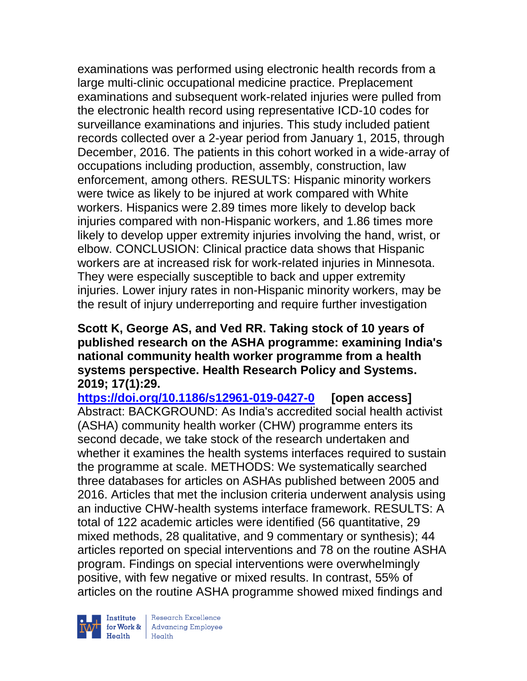examinations was performed using electronic health records from a large multi-clinic occupational medicine practice. Preplacement examinations and subsequent work-related injuries were pulled from the electronic health record using representative ICD-10 codes for surveillance examinations and injuries. This study included patient records collected over a 2-year period from January 1, 2015, through December, 2016. The patients in this cohort worked in a wide-array of occupations including production, assembly, construction, law enforcement, among others. RESULTS: Hispanic minority workers were twice as likely to be injured at work compared with White workers. Hispanics were 2.89 times more likely to develop back injuries compared with non-Hispanic workers, and 1.86 times more likely to develop upper extremity injuries involving the hand, wrist, or elbow. CONCLUSION: Clinical practice data shows that Hispanic workers are at increased risk for work-related injuries in Minnesota. They were especially susceptible to back and upper extremity injuries. Lower injury rates in non-Hispanic minority workers, may be the result of injury underreporting and require further investigation

#### **Scott K, George AS, and Ved RR. Taking stock of 10 years of published research on the ASHA programme: examining India's national community health worker programme from a health systems perspective. Health Research Policy and Systems. 2019; 17(1):29.**

**<https://doi.org/10.1186/s12961-019-0427-0> [open access]** Abstract: BACKGROUND: As India's accredited social health activist (ASHA) community health worker (CHW) programme enters its second decade, we take stock of the research undertaken and whether it examines the health systems interfaces required to sustain the programme at scale. METHODS: We systematically searched three databases for articles on ASHAs published between 2005 and 2016. Articles that met the inclusion criteria underwent analysis using an inductive CHW-health systems interface framework. RESULTS: A total of 122 academic articles were identified (56 quantitative, 29 mixed methods, 28 qualitative, and 9 commentary or synthesis); 44 articles reported on special interventions and 78 on the routine ASHA program. Findings on special interventions were overwhelmingly positive, with few negative or mixed results. In contrast, 55% of articles on the routine ASHA programme showed mixed findings and



| Research Excellence for Work & Advancing Employee<br>Health Health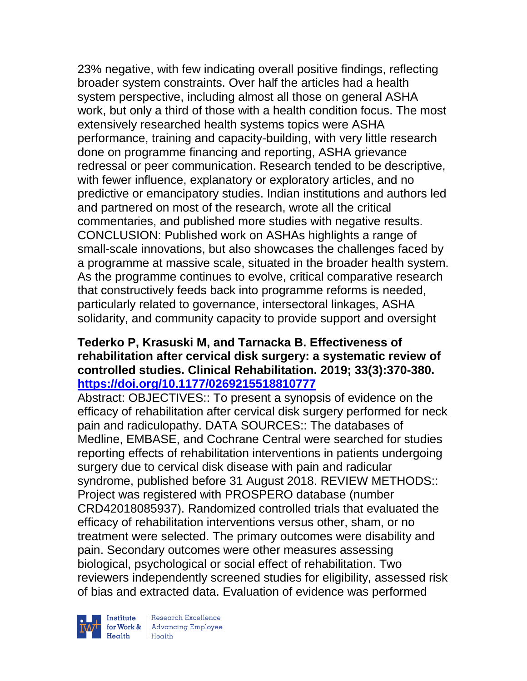23% negative, with few indicating overall positive findings, reflecting broader system constraints. Over half the articles had a health system perspective, including almost all those on general ASHA work, but only a third of those with a health condition focus. The most extensively researched health systems topics were ASHA performance, training and capacity-building, with very little research done on programme financing and reporting, ASHA grievance redressal or peer communication. Research tended to be descriptive, with fewer influence, explanatory or exploratory articles, and no predictive or emancipatory studies. Indian institutions and authors led and partnered on most of the research, wrote all the critical commentaries, and published more studies with negative results. CONCLUSION: Published work on ASHAs highlights a range of small-scale innovations, but also showcases the challenges faced by a programme at massive scale, situated in the broader health system. As the programme continues to evolve, critical comparative research that constructively feeds back into programme reforms is needed, particularly related to governance, intersectoral linkages, ASHA solidarity, and community capacity to provide support and oversight

## **Tederko P, Krasuski M, and Tarnacka B. Effectiveness of rehabilitation after cervical disk surgery: a systematic review of controlled studies. Clinical Rehabilitation. 2019; 33(3):370-380. <https://doi.org/10.1177/0269215518810777>**

Abstract: OBJECTIVES:: To present a synopsis of evidence on the efficacy of rehabilitation after cervical disk surgery performed for neck pain and radiculopathy. DATA SOURCES:: The databases of Medline, EMBASE, and Cochrane Central were searched for studies reporting effects of rehabilitation interventions in patients undergoing surgery due to cervical disk disease with pain and radicular syndrome, published before 31 August 2018. REVIEW METHODS:: Project was registered with PROSPERO database (number CRD42018085937). Randomized controlled trials that evaluated the efficacy of rehabilitation interventions versus other, sham, or no treatment were selected. The primary outcomes were disability and pain. Secondary outcomes were other measures assessing biological, psychological or social effect of rehabilitation. Two reviewers independently screened studies for eligibility, assessed risk of bias and extracted data. Evaluation of evidence was performed

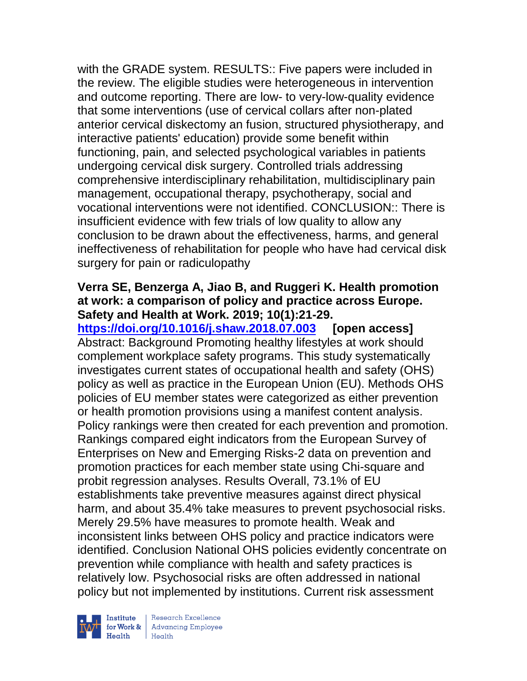with the GRADE system. RESULTS:: Five papers were included in the review. The eligible studies were heterogeneous in intervention and outcome reporting. There are low- to very-low-quality evidence that some interventions (use of cervical collars after non-plated anterior cervical diskectomy an fusion, structured physiotherapy, and interactive patients' education) provide some benefit within functioning, pain, and selected psychological variables in patients undergoing cervical disk surgery. Controlled trials addressing comprehensive interdisciplinary rehabilitation, multidisciplinary pain management, occupational therapy, psychotherapy, social and vocational interventions were not identified. CONCLUSION:: There is insufficient evidence with few trials of low quality to allow any conclusion to be drawn about the effectiveness, harms, and general ineffectiveness of rehabilitation for people who have had cervical disk surgery for pain or radiculopathy

## **Verra SE, Benzerga A, Jiao B, and Ruggeri K. Health promotion at work: a comparison of policy and practice across Europe. Safety and Health at Work. 2019; 10(1):21-29.**

**<https://doi.org/10.1016/j.shaw.2018.07.003> [open access]** Abstract: Background Promoting healthy lifestyles at work should complement workplace safety programs. This study systematically investigates current states of occupational health and safety (OHS) policy as well as practice in the European Union (EU). Methods OHS policies of EU member states were categorized as either prevention or health promotion provisions using a manifest content analysis. Policy rankings were then created for each prevention and promotion. Rankings compared eight indicators from the European Survey of Enterprises on New and Emerging Risks-2 data on prevention and promotion practices for each member state using Chi-square and probit regression analyses. Results Overall, 73.1% of EU establishments take preventive measures against direct physical harm, and about 35.4% take measures to prevent psychosocial risks. Merely 29.5% have measures to promote health. Weak and inconsistent links between OHS policy and practice indicators were identified. Conclusion National OHS policies evidently concentrate on prevention while compliance with health and safety practices is relatively low. Psychosocial risks are often addressed in national policy but not implemented by institutions. Current risk assessment



| Research Excellence Institute Research Excellence<br> **Fractional Employee**<br>
Realth Health